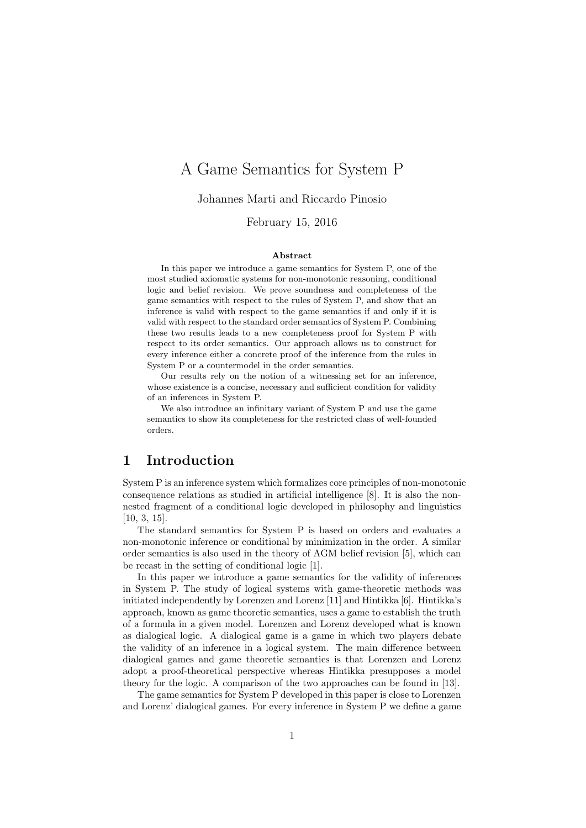# A Game Semantics for System P

Johannes Marti and Riccardo Pinosio

February 15, 2016

#### Abstract

In this paper we introduce a game semantics for System P, one of the most studied axiomatic systems for non-monotonic reasoning, conditional logic and belief revision. We prove soundness and completeness of the game semantics with respect to the rules of System P, and show that an inference is valid with respect to the game semantics if and only if it is valid with respect to the standard order semantics of System P. Combining these two results leads to a new completeness proof for System P with respect to its order semantics. Our approach allows us to construct for every inference either a concrete proof of the inference from the rules in System P or a countermodel in the order semantics.

Our results rely on the notion of a witnessing set for an inference, whose existence is a concise, necessary and sufficient condition for validity of an inferences in System P.

We also introduce an infinitary variant of System P and use the game semantics to show its completeness for the restricted class of well-founded orders.

# 1 Introduction

System P is an inference system which formalizes core principles of non-monotonic consequence relations as studied in artificial intelligence [8]. It is also the nonnested fragment of a conditional logic developed in philosophy and linguistics [10, 3, 15].

The standard semantics for System P is based on orders and evaluates a non-monotonic inference or conditional by minimization in the order. A similar order semantics is also used in the theory of AGM belief revision [5], which can be recast in the setting of conditional logic [1].

In this paper we introduce a game semantics for the validity of inferences in System P. The study of logical systems with game-theoretic methods was initiated independently by Lorenzen and Lorenz [11] and Hintikka [6]. Hintikka's approach, known as game theoretic semantics, uses a game to establish the truth of a formula in a given model. Lorenzen and Lorenz developed what is known as dialogical logic. A dialogical game is a game in which two players debate the validity of an inference in a logical system. The main difference between dialogical games and game theoretic semantics is that Lorenzen and Lorenz adopt a proof-theoretical perspective whereas Hintikka presupposes a model theory for the logic. A comparison of the two approaches can be found in [13].

The game semantics for System P developed in this paper is close to Lorenzen and Lorenz' dialogical games. For every inference in System P we define a game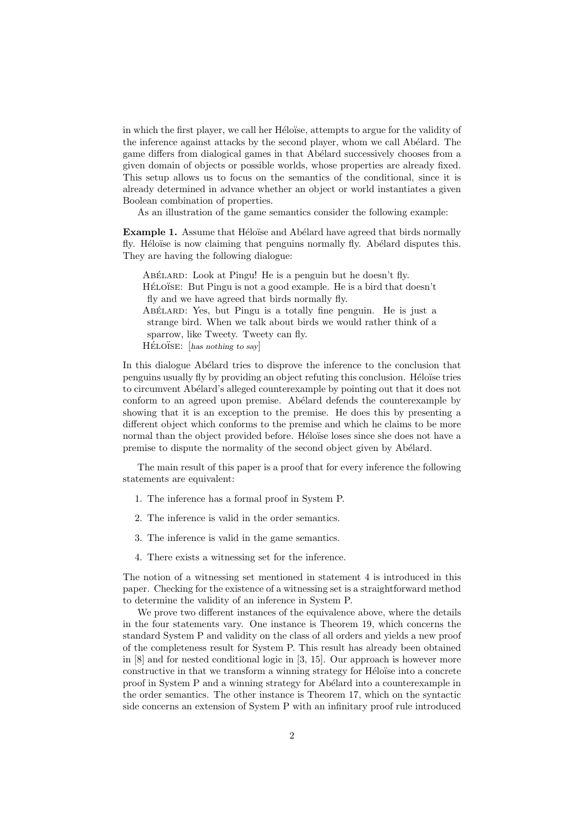in which the first player, we call her Héloïse, attempts to argue for the validity of the inference against attacks by the second player, whom we call Abélard. The game differs from dialogical games in that Abélard successively chooses from a given domain of objects or possible worlds, whose properties are already fixed. This setup allows us to focus on the semantics of the conditional, since it is already determined in advance whether an object or world instantiates a given Boolean combination of properties.

As an illustration of the game semantics consider the following example:

**Example 1.** Assume that Héloïse and Abélard have agreed that birds normally fly. Héloïse is now claiming that penguins normally fly. Abélard disputes this. They are having the following dialogue:

ABELARD: Look at Pingu! He is a penguin but he doesn't fly. HÉLOÏSE: But Pingu is not a good example. He is a bird that doesn't fly and we have agreed that birds normally fly. ABÉLARD: Yes, but Pingu is a totally fine penguin. He is just a strange bird. When we talk about birds we would rather think of a sparrow, like Tweety. Tweety can fly.  $H\acute{E}LO\ddot{S}E:$  [has nothing to say]

In this dialogue Abélard tries to disprove the inference to the conclusion that penguins usually fly by providing an object refuting this conclusion. Héloïse tries to circumvent Abélard's alleged counterexample by pointing out that it does not conform to an agreed upon premise. Abélard defends the counterexample by showing that it is an exception to the premise. He does this by presenting a different object which conforms to the premise and which he claims to be more normal than the object provided before. Héloïse loses since she does not have a premise to dispute the normality of the second object given by Abélard.

The main result of this paper is a proof that for every inference the following statements are equivalent:

- 1. The inference has a formal proof in System P.
- 2. The inference is valid in the order semantics.
- 3. The inference is valid in the game semantics.
- 4. There exists a witnessing set for the inference.

The notion of a witnessing set mentioned in statement 4 is introduced in this paper. Checking for the existence of a witnessing set is a straightforward method to determine the validity of an inference in System P.

We prove two different instances of the equivalence above, where the details in the four statements vary. One instance is Theorem 19, which concerns the standard System P and validity on the class of all orders and yields a new proof of the completeness result for System P. This result has already been obtained in [8] and for nested conditional logic in [3, 15]. Our approach is however more constructive in that we transform a winning strategy for Héloïse into a concrete proof in System P and a winning strategy for Abélard into a counterexample in the order semantics. The other instance is Theorem 17, which on the syntactic side concerns an extension of System P with an infinitary proof rule introduced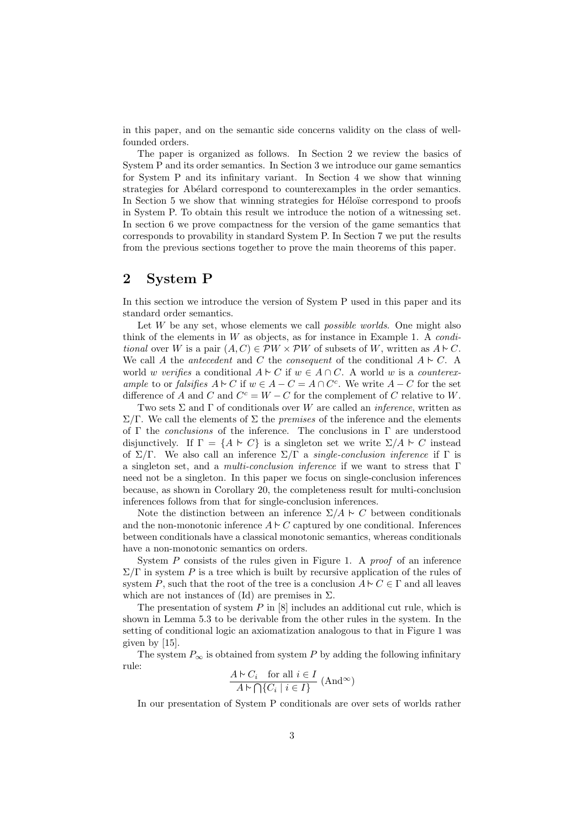in this paper, and on the semantic side concerns validity on the class of wellfounded orders.

The paper is organized as follows. In Section 2 we review the basics of System P and its order semantics. In Section 3 we introduce our game semantics for System P and its infinitary variant. In Section 4 we show that winning strategies for Abélard correspond to counterexamples in the order semantics. In Section 5 we show that winning strategies for Héloïse correspond to proofs in System P. To obtain this result we introduce the notion of a witnessing set. In section 6 we prove compactness for the version of the game semantics that corresponds to provability in standard System P. In Section 7 we put the results from the previous sections together to prove the main theorems of this paper.

### 2 System P

In this section we introduce the version of System P used in this paper and its standard order semantics.

Let  $W$  be any set, whose elements we call *possible worlds*. One might also think of the elements in  $W$  as objects, as for instance in Example 1. A *condi*tional over W is a pair  $(A, C) \in \mathcal{P}W \times \mathcal{P}W$  of subsets of W, written as  $A \supset C$ . We call A the antecedent and C the consequent of the conditional  $A \vdash C$ . world w verifies a conditional  $A \supseteq C$  if  $w \in A \cap C$ . A world w is a counterexample to or falsifies  $A \vdash C$  if  $w \in A - C = A \cap C^c$ . We write  $A - C$  for the set difference of A and C and  $C^c = W - C$  for the complement of C relative to W.

Two sets  $\Sigma$  and  $\Gamma$  of conditionals over W are called an *inference*, written as  $\Sigma/\Gamma$ . We call the elements of  $\Sigma$  the *premises* of the inference and the elements of  $\Gamma$  the *conclusions* of the inference. The conclusions in  $\Gamma$  are understood disjunctively. If  $\Gamma = \{A \vdash C\}$  is a singleton set we write  $\Sigma/A \vdash C$  instead of  $\Sigma/\Gamma$ . We also call an inference  $\Sigma/\Gamma$  a single-conclusion inference if  $\Gamma$  is a singleton set, and a multi-conclusion inference if we want to stress that  $\Gamma$ need not be a singleton. In this paper we focus on single-conclusion inferences because, as shown in Corollary 20, the completeness result for multi-conclusion inferences follows from that for single-conclusion inferences.

Note the distinction between an inference  $\Sigma/A \sim C$  between conditionals and the non-monotonic inference  $A \sim C$  captured by one conditional. Inferences between conditionals have a classical monotonic semantics, whereas conditionals have a non-monotonic semantics on orders.

System  $P$  consists of the rules given in Figure 1. A proof of an inference  $\Sigma/\Gamma$  in system P is a tree which is built by recursive application of the rules of system P, such that the root of the tree is a conclusion  $A \vdash C \in \Gamma$  and all leaves which are not instances of (Id) are premises in  $\Sigma$ .

The presentation of system  $P$  in  $[8]$  includes an additional cut rule, which is shown in Lemma 5.3 to be derivable from the other rules in the system. In the setting of conditional logic an axiomatization analogous to that in Figure 1 was given by [15].

The system  $P_{\infty}$  is obtained from system P by adding the following infinitary rule:

$$
\frac{A \vdash C_i \quad \text{for all } i \in I}{A \vdash \bigcap \{C_i \mid i \in I\}} \ (\text{And}^{\infty})
$$

In our presentation of System P conditionals are over sets of worlds rather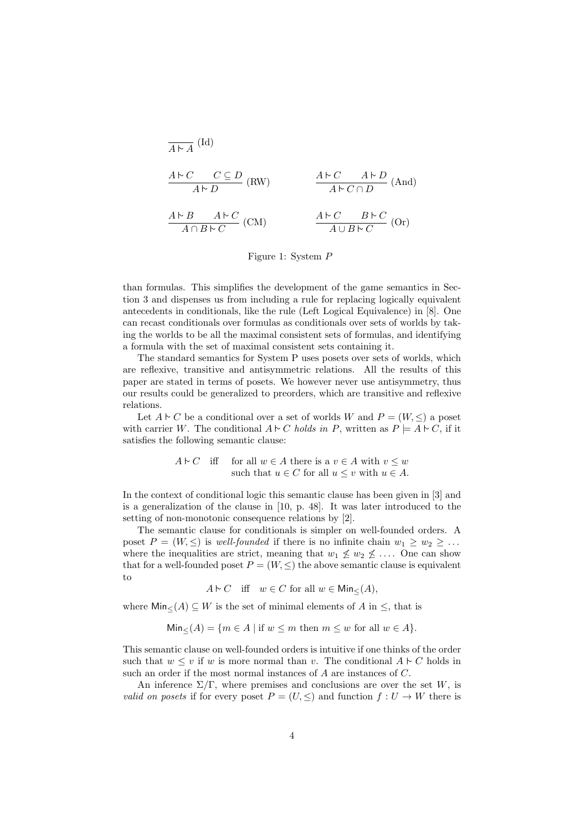$$
\frac{A \triangleright C \quad C \subseteq D}{A \triangleright D} \text{ (RW)} \qquad \frac{A \triangleright C \quad A \triangleright D}{A \triangleright C \cap D} \text{ (And)}
$$
\n
$$
\frac{A \triangleright B \quad A \triangleright C}{A \cap B \triangleright C} \text{ (CM)} \qquad \frac{A \triangleright C \quad B \triangleright C}{A \cup B \triangleright C} \text{ (Or)}
$$

#### Figure 1: System P

than formulas. This simplifies the development of the game semantics in Section 3 and dispenses us from including a rule for replacing logically equivalent antecedents in conditionals, like the rule (Left Logical Equivalence) in [8]. One can recast conditionals over formulas as conditionals over sets of worlds by taking the worlds to be all the maximal consistent sets of formulas, and identifying a formula with the set of maximal consistent sets containing it.

The standard semantics for System P uses posets over sets of worlds, which are reflexive, transitive and antisymmetric relations. All the results of this paper are stated in terms of posets. We however never use antisymmetry, thus our results could be generalized to preorders, which are transitive and reflexive relations.

Let  $A \uparrow C$  be a conditional over a set of worlds W and  $P = (W, \leq)$  a poset with carrier W. The conditional  $A \sim C$  holds in P, written as  $P \models A \sim C$ , if it satisfies the following semantic clause:

> $A \vdash C$  iff for all  $w \in A$  there is a  $v \in A$  with  $v \leq w$ such that  $u \in C$  for all  $u \leq v$  with  $u \in A$ .

In the context of conditional logic this semantic clause has been given in [3] and is a generalization of the clause in [10, p. 48]. It was later introduced to the setting of non-monotonic consequence relations by [2].

The semantic clause for conditionals is simpler on well-founded orders. A poset  $P = (W, \leq)$  is well-founded if there is no infinite chain  $w_1 \geq w_2 \geq \ldots$ where the inequalities are strict, meaning that  $w_1 \not\leq w_2 \not\leq \ldots$ . One can show that for a well-founded poset  $P = (W, \leq)$  the above semantic clause is equivalent to

$$
A \vdash C
$$
 iff  $w \in C$  for all  $w \in \mathsf{Min}_{\leq}(A)$ ,

where  $\text{Min}_{\leq}(A) \subseteq W$  is the set of minimal elements of A in  $\leq$ , that is

$$
Min_{\leq}(A) = \{ m \in A \mid \text{if } w \leq m \text{ then } m \leq w \text{ for all } w \in A \}.
$$

This semantic clause on well-founded orders is intuitive if one thinks of the order such that  $w \leq v$  if w is more normal than v. The conditional  $A \sim C$  holds in such an order if the most normal instances of A are instances of C.

An inference  $\Sigma/\Gamma$ , where premises and conclusions are over the set W, is *valid on posets* if for every poset  $P = (U, \leq)$  and function  $f: U \to W$  there is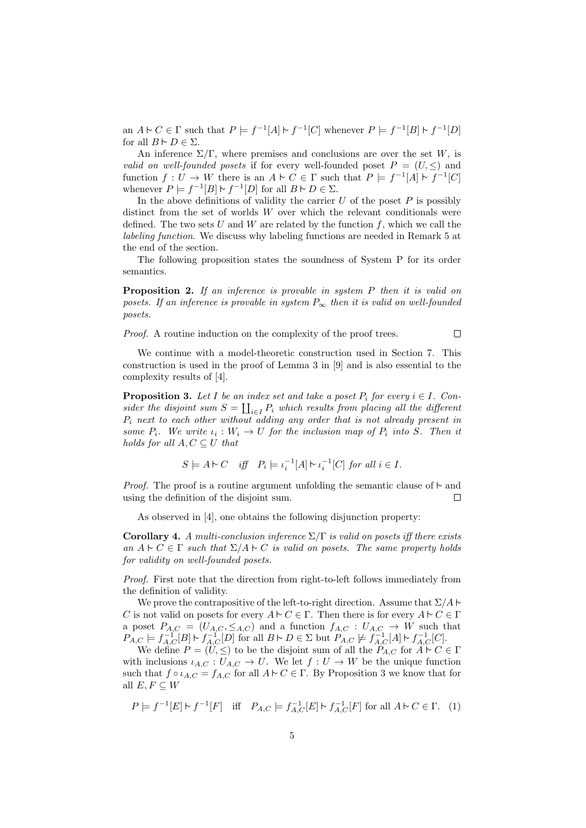an  $A \vdash C \in \Gamma$  such that  $P \models f^{-1}[A] \vdash f^{-1}[C]$  whenever  $P \models f^{-1}[B] \vdash f^{-1}[D]$ for all  $B \vdash D \in \Sigma$ .

An inference  $\Sigma/\Gamma$ , where premises and conclusions are over the set W, is valid on well-founded posets if for every well-founded poset  $P = (U, \leq)$  and function  $f: U \to W$  there is an  $A \vdash C \in \Gamma$  such that  $P \models f^{-1}[A] \vdash f^{-1}[C]$ whenever  $P \models f^{-1}[B] \models f^{-1}[D]$  for all  $B \models D \in \Sigma$ .

In the above definitions of validity the carrier  $U$  of the poset  $P$  is possibly distinct from the set of worlds  $W$  over which the relevant conditionals were defined. The two sets  $U$  and  $W$  are related by the function  $f$ , which we call the labeling function. We discuss why labeling functions are needed in Remark 5 at the end of the section.

The following proposition states the soundness of System P for its order semantics.

**Proposition 2.** If an inference is provable in system P then it is valid on posets. If an inference is provable in system  $P_{\infty}$  then it is valid on well-founded posets.

Proof. A routine induction on the complexity of the proof trees.

 $\Box$ 

We continue with a model-theoretic construction used in Section 7. This construction is used in the proof of Lemma 3 in [9] and is also essential to the complexity results of [4].

**Proposition 3.** Let I be an index set and take a poset  $P_i$  for every  $i \in I$ . Consider the disjoint sum  $S = \coprod_{i \in I} P_i$  which results from placing all the different  $P_i$  next to each other without adding any order that is not already present in some  $P_i$ . We write  $\iota_i : W_i \to U$  for the inclusion map of  $P_i$  into S. Then it holds for all  $A, C \subseteq U$  that

$$
S \models A \models C \quad \textit{iff} \quad P_i \models \iota_i^{-1}[A] \models \iota_i^{-1}[C] \textit{ for all } i \in I.
$$

*Proof.* The proof is a routine argument unfolding the semantic clause of  $\sim$  and using the definition of the disjoint sum. П

As observed in [4], one obtains the following disjunction property:

**Corollary 4.** A multi-conclusion inference  $\Sigma/\Gamma$  is valid on posets iff there exists an  $A \vdash C \in \Gamma$  such that  $\Sigma/A \vdash C$  is valid on posets. The same property holds for validity on well-founded posets.

Proof. First note that the direction from right-to-left follows immediately from the definition of validity.

We prove the contrapositive of the left-to-right direction. Assume that  $\Sigma/A \vdash$ C is not valid on posets for every  $A \vdash C \in \Gamma$ . Then there is for every  $A \vdash C \in \Gamma$ a poset  $P_{A,C} = (U_{A,C}, \leq_{A,C})$  and a function  $f_{A,C} : U_{A,C} \to W$  such that  $P_{A,C} \models f_{A,C}^{-1}[B] \triangleright f_{A,C}^{-1}[D]$  for all  $B \vdash D \in \Sigma$  but  $P_{A,C} \not\models f_{A,C}^{-1}[A] \vdash f_{A,C}^{-1}[C]$ .

We define  $P = (U, \leq)$  to be the disjoint sum of all the  $P_{A,C}$  for  $A \vdash C \in \Gamma$ with inclusions  $\iota_{A,C}: U_{A,C} \to U$ . We let  $f: U \to W$  be the unique function such that  $f \circ \iota_{A,C} = f_{A,C}$  for all  $A \vdash C \in \Gamma$ . By Proposition 3 we know that for all  $E, F \subseteq W$ 

$$
P \models f^{-1}[E] \models f^{-1}[F] \quad \text{iff} \quad P_{A,C} \models f_{A,C}^{-1}[E] \models f_{A,C}^{-1}[F] \text{ for all } A \models C \in \Gamma. \tag{1}
$$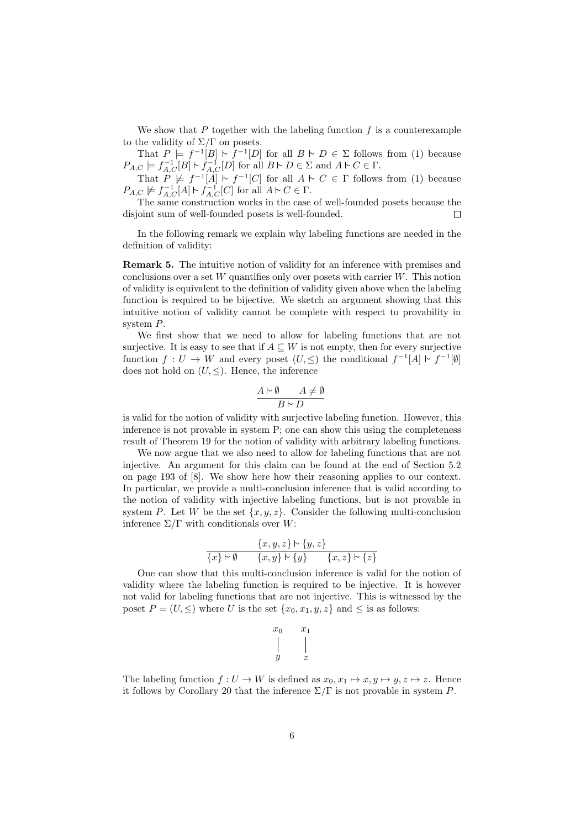We show that  $P$  together with the labeling function  $f$  is a counterexample to the validity of  $\Sigma/\Gamma$  on posets.

That  $P \models f^{-1}[B] \vdash f^{-1}[D]$  for all  $B \vdash D \in \Sigma$  follows from (1) because  $P_{A,C} \models f_{A,C}^{-1}[B] \vdash f_{A,C}^{-1}[D]$  for all  $B \vdash D \in \Sigma$  and  $A \vdash C \in \Gamma$ .

That  $P \not\models f^{-1}[A] \vdash f^{-1}[C]$  for all  $A \vdash C \in \Gamma$  follows from (1) because  $P_{A,C} \not\models f_{A,C}^{-1}[A] \vdash f_{A,C}^{-1}[C]$  for all  $A \vdash C \in \Gamma$ .

The same construction works in the case of well-founded posets because the disjoint sum of well-founded posets is well-founded. г

In the following remark we explain why labeling functions are needed in the definition of validity:

Remark 5. The intuitive notion of validity for an inference with premises and conclusions over a set  $W$  quantifies only over posets with carrier  $W$ . This notion of validity is equivalent to the definition of validity given above when the labeling function is required to be bijective. We sketch an argument showing that this intuitive notion of validity cannot be complete with respect to provability in system P.

We first show that we need to allow for labeling functions that are not surjective. It is easy to see that if  $A \subseteq W$  is not empty, then for every surjective function  $f: U \to W$  and every poset  $(U, \leq)$  the conditional  $f^{-1}[A] \vdash f^{-1}[\emptyset]$ does not hold on  $(U, \leq)$ . Hence, the inference

$$
\frac{A \vdash \emptyset \qquad A \neq \emptyset}{B \vdash D}
$$

is valid for the notion of validity with surjective labeling function. However, this inference is not provable in system P; one can show this using the completeness result of Theorem 19 for the notion of validity with arbitrary labeling functions.

We now argue that we also need to allow for labeling functions that are not injective. An argument for this claim can be found at the end of Section 5.2 on page 193 of [8]. We show here how their reasoning applies to our context. In particular, we provide a multi-conclusion inference that is valid according to the notion of validity with injective labeling functions, but is not provable in system P. Let W be the set  $\{x, y, z\}$ . Consider the following multi-conclusion inference  $\Sigma/\Gamma$  with conditionals over W:

$$
\frac{\{x,y,z\} \vdash \{y,z\}}{\{x\} \vdash \emptyset \qquad \{x,y\} \vdash \{y\}} \qquad \{x,z\} \vdash \{z\}
$$

One can show that this multi-conclusion inference is valid for the notion of validity where the labeling function is required to be injective. It is however not valid for labeling functions that are not injective. This is witnessed by the poset  $P = (U, \leq)$  where U is the set  $\{x_0, x_1, y, z\}$  and  $\leq$  is as follows:

$$
\begin{array}{ccc} x_0 & & x_1 \\ \Big\vert & & \Big\vert \\ y & & z \end{array}
$$

The labeling function  $f: U \to W$  is defined as  $x_0, x_1 \mapsto x, y \mapsto y, z \mapsto z$ . Hence it follows by Corollary 20 that the inference  $\Sigma/\Gamma$  is not provable in system P.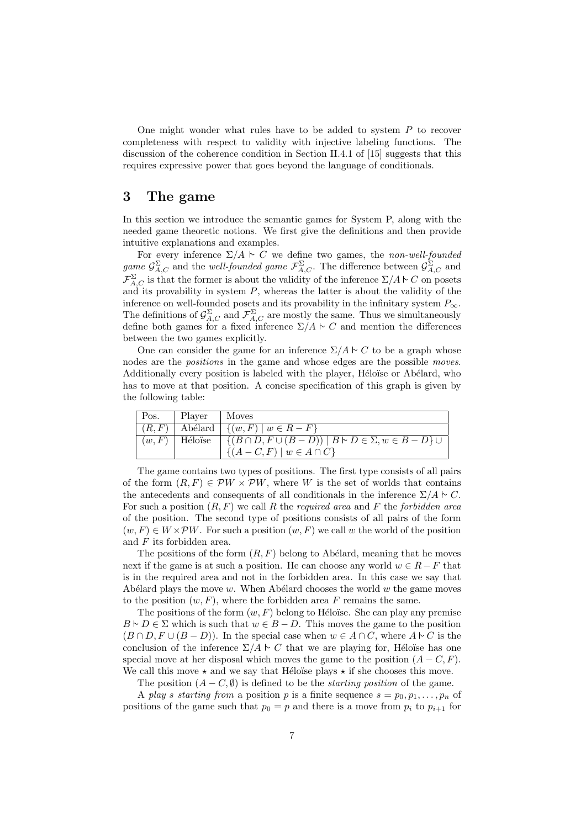One might wonder what rules have to be added to system  $P$  to recover completeness with respect to validity with injective labeling functions. The discussion of the coherence condition in Section II.4.1 of [15] suggests that this requires expressive power that goes beyond the language of conditionals.

# 3 The game

In this section we introduce the semantic games for System P, along with the needed game theoretic notions. We first give the definitions and then provide intuitive explanations and examples.

For every inference  $\Sigma/A \vdash C$  we define two games, the non-well-founded game  $\mathcal{G}_{A,C}^{\Sigma}$  and the well-founded game  $\mathcal{F}_{A,C}^{\Sigma}$ . The difference between  $\mathcal{G}_{A,C}^{\Sigma}$  and  $\mathcal{F}_{A,C}^{\Sigma}$  is that the former is about the validity of the inference  $\Sigma/A \sim C$  on posets and its provability in system  $P$ , whereas the latter is about the validity of the inference on well-founded posets and its provability in the infinitary system  $P_{\infty}$ . The definitions of  $\mathcal{G}_{A,C}^{\Sigma}$  and  $\mathcal{F}_{A,C}^{\Sigma}$  are mostly the same. Thus we simultaneously define both games for a fixed inference  $\Sigma/A \sim C$  and mention the differences between the two games explicitly.

One can consider the game for an inference  $\Sigma/A \sim C$  to be a graph whose nodes are the *positions* in the game and whose edges are the possible *moves*. Additionally every position is labeled with the player, Héloïse or Abélard, who has to move at that position. A concise specification of this graph is given by the following table:

| Pos.   Player   Moves |                                                                                                               |
|-----------------------|---------------------------------------------------------------------------------------------------------------|
|                       | $\mid (R, F) \mid$ Abélard $\mid \{(w, F) \mid w \in R - F\}$                                                 |
|                       | $(w, F)$ Héloïse $\left  \{(B \cap D, F \cup (B - D)) \mid B \vdash D \in \Sigma, w \in B - D\} \cup \right $ |
|                       | $\left[ \{(A-C, F) \mid w \in A \cap C \} \right]$                                                            |

The game contains two types of positions. The first type consists of all pairs of the form  $(R, F) \in \mathcal{P}W \times \mathcal{P}W$ , where W is the set of worlds that contains the antecedents and consequents of all conditionals in the inference  $\Sigma/A \sim C$ . For such a position  $(R, F)$  we call R the *required area* and F the *forbidden area* of the position. The second type of positions consists of all pairs of the form  $(w, F) \in W \times \mathcal{P}W$ . For such a position  $(w, F)$  we call w the world of the position and F its forbidden area.

The positions of the form  $(R, F)$  belong to Abélard, meaning that he moves next if the game is at such a position. He can choose any world  $w \in R - F$  that is in the required area and not in the forbidden area. In this case we say that Abélard plays the move  $w$ . When Abélard chooses the world  $w$  the game moves to the position  $(w, F)$ , where the forbidden area F remains the same.

The positions of the form  $(w, F)$  belong to Héloïse. She can play any premise  $B \vdash D \in \Sigma$  which is such that  $w \in B - D$ . This moves the game to the position  $(B \cap D, F \cup (B - D))$ . In the special case when  $w \in A \cap C$ , where  $A \vdash C$  is the conclusion of the inference  $\Sigma/A \sim C$  that we are playing for, Héloïse has one special move at her disposal which moves the game to the position  $(A - C, F)$ . We call this move  $\star$  and we say that Héloïse plays  $\star$  if she chooses this move.

The position  $(A - C, \emptyset)$  is defined to be the *starting position* of the game.

A play s starting from a position p is a finite sequence  $s = p_0, p_1, \ldots, p_n$  of positions of the game such that  $p_0 = p$  and there is a move from  $p_i$  to  $p_{i+1}$  for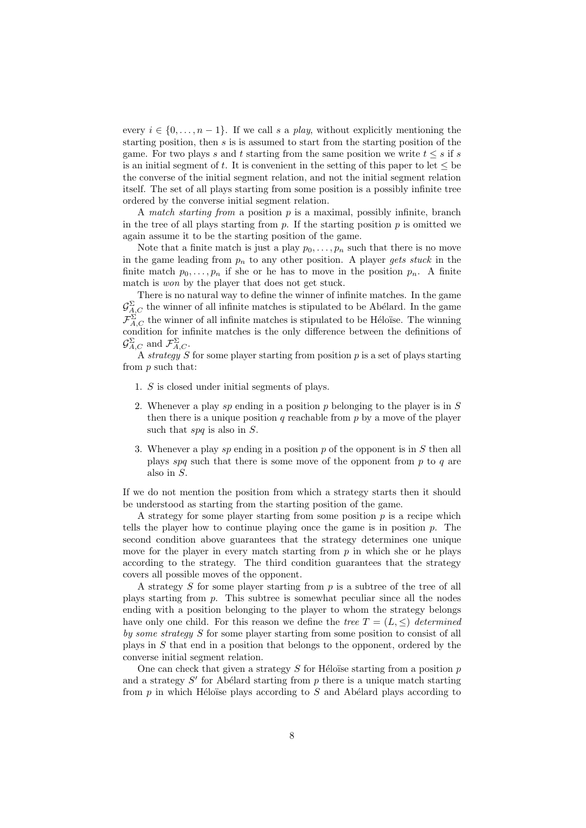every  $i \in \{0, \ldots, n-1\}$ . If we call s a play, without explicitly mentioning the starting position, then  $s$  is is assumed to start from the starting position of the game. For two plays s and t starting from the same position we write  $t \leq s$  if s is an initial segment of t. It is convenient in the setting of this paper to let  $\leq$  be the converse of the initial segment relation, and not the initial segment relation itself. The set of all plays starting from some position is a possibly infinite tree ordered by the converse initial segment relation.

A match starting from a position  $p$  is a maximal, possibly infinite, branch in the tree of all plays starting from  $p$ . If the starting position  $p$  is omitted we again assume it to be the starting position of the game.

Note that a finite match is just a play  $p_0, \ldots, p_n$  such that there is no move in the game leading from  $p_n$  to any other position. A player gets stuck in the finite match  $p_0, \ldots, p_n$  if she or he has to move in the position  $p_n$ . A finite match is won by the player that does not get stuck.

There is no natural way to define the winner of infinite matches. In the game  $\mathcal{G}_{A,C}^{\Sigma}$  the winner of all infinite matches is stipulated to be Abélard. In the game  $\mathcal{F}_{A,C}^{\Sigma}$  the winner of all infinite matches is stipulated to be Héloïse. The winning condition for infinite matches is the only difference between the definitions of  $\mathcal{G}_{A,C}^{\Sigma}$  and  $\mathcal{F}_{A,C}^{\Sigma}$ .

A strategy S for some player starting from position p is a set of plays starting from p such that:

- 1. S is closed under initial segments of plays.
- 2. Whenever a play sp ending in a position p belonging to the player is in  $S$ then there is a unique position q reachable from  $p$  by a move of the player such that spq is also in S.
- 3. Whenever a play sp ending in a position p of the opponent is in S then all plays spq such that there is some move of the opponent from  $p$  to  $q$  are also in S.

If we do not mention the position from which a strategy starts then it should be understood as starting from the starting position of the game.

A strategy for some player starting from some position  $p$  is a recipe which tells the player how to continue playing once the game is in position  $p$ . The second condition above guarantees that the strategy determines one unique move for the player in every match starting from  $p$  in which she or he plays according to the strategy. The third condition guarantees that the strategy covers all possible moves of the opponent.

A strategy  $S$  for some player starting from  $p$  is a subtree of the tree of all plays starting from p. This subtree is somewhat peculiar since all the nodes ending with a position belonging to the player to whom the strategy belongs have only one child. For this reason we define the tree  $T = (L, \leq)$  determined by some strategy S for some player starting from some position to consist of all plays in S that end in a position that belongs to the opponent, ordered by the converse initial segment relation.

One can check that given a strategy  $S$  for Héloïse starting from a position  $p$ and a strategy  $S'$  for Abélard starting from  $p$  there is a unique match starting from  $p$  in which Héloïse plays according to  $S$  and Abélard plays according to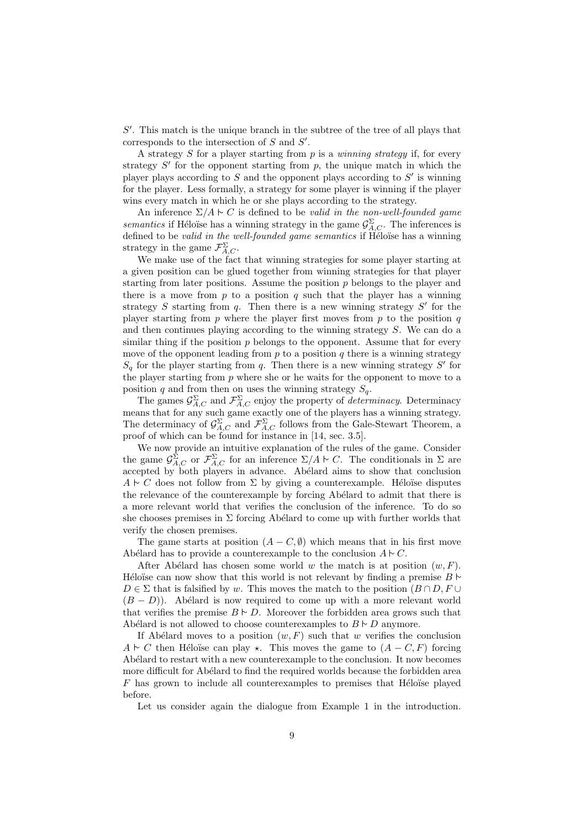$S'$ . This match is the unique branch in the subtree of the tree of all plays that corresponds to the intersection of  $S$  and  $S'$ .

A strategy S for a player starting from  $p$  is a *winning strategy* if, for every strategy  $S'$  for the opponent starting from  $p$ , the unique match in which the player plays according to  $S$  and the opponent plays according to  $S'$  is winning for the player. Less formally, a strategy for some player is winning if the player wins every match in which he or she plays according to the strategy.

An inference  $\Sigma/A \vdash C$  is defined to be valid in the non-well-founded game semantics if Héloïse has a winning strategy in the game  $\mathcal{G}^{\Sigma}_{A,C}$ . The inferences is defined to be valid in the well-founded game semantics if Héloïse has a winning strategy in the game  $\mathcal{F}_{A,C}^{\Sigma}$ .

We make use of the fact that winning strategies for some player starting at a given position can be glued together from winning strategies for that player starting from later positions. Assume the position  $p$  belongs to the player and there is a move from  $p$  to a position  $q$  such that the player has a winning strategy  $S$  starting from  $q$ . Then there is a new winning strategy  $S'$  for the player starting from  $p$  where the player first moves from  $p$  to the position  $q$ and then continues playing according to the winning strategy S. We can do a similar thing if the position  $p$  belongs to the opponent. Assume that for every move of the opponent leading from  $p$  to a position  $q$  there is a winning strategy  $S_q$  for the player starting from q. Then there is a new winning strategy  $S'$  for the player starting from  $p$  where she or he waits for the opponent to move to a position q and from then on uses the winning strategy  $S_q$ .

The games  $\mathcal{G}_{A,C}^{\Sigma}$  and  $\mathcal{F}_{A,C}^{\Sigma}$  enjoy the property of *determinacy*. Determinacy means that for any such game exactly one of the players has a winning strategy. The determinacy of  $\mathcal{G}_{A,C}^{\Sigma}$  and  $\mathcal{F}_{A,C}^{\Sigma}$  follows from the Gale-Stewart Theorem, a proof of which can be found for instance in [14, sec. 3.5].

We now provide an intuitive explanation of the rules of the game. Consider the game  $\mathcal{G}_{A,C}^{\Sigma}$  or  $\mathcal{F}_{A,C}^{\Sigma}$  for an inference  $\Sigma/A \vdash C$ . The conditionals in  $\Sigma$  are accepted by both players in advance. Abélard aims to show that conclusion  $A \vdash C$  does not follow from  $\Sigma$  by giving a counterexample. Héloïse disputes the relevance of the counterexample by forcing Abélard to admit that there is a more relevant world that verifies the conclusion of the inference. To do so she chooses premises in  $\Sigma$  forcing Abélard to come up with further worlds that verify the chosen premises.

The game starts at position  $(A - C, \emptyset)$  which means that in his first move Abélard has to provide a counterexample to the conclusion  $A \sim C$ .

After Abélard has chosen some world w the match is at position  $(w, F)$ . Héloïse can now show that this world is not relevant by finding a premise  $B \triangleright$  $D \in \Sigma$  that is falsified by w. This moves the match to the position  $(B \cap D, F \cup$  $(B - D)$ ). Abélard is now required to come up with a more relevant world that verifies the premise  $B \vdash D$ . Moreover the forbidden area grows such that Abélard is not allowed to choose counterexamples to  $B \vdash D$  anymore.

If Abélard moves to a position  $(w, F)$  such that w verifies the conclusion  $A \vdash C$  then Héloïse can play  $\star$ . This moves the game to  $(A - C, F)$  forcing Abélard to restart with a new counterexample to the conclusion. It now becomes more difficult for Abélard to find the required worlds because the forbidden area  $F$  has grown to include all counterexamples to premises that Héloïse played before.

Let us consider again the dialogue from Example 1 in the introduction.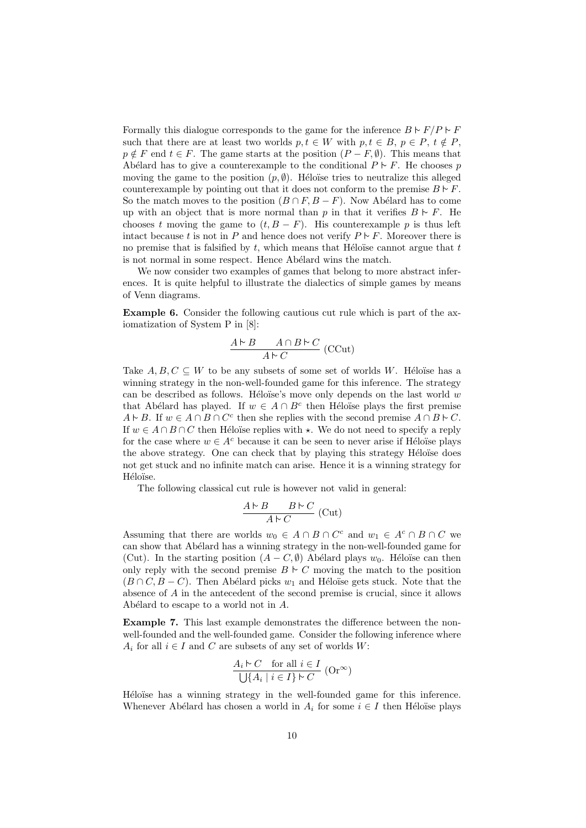Formally this dialogue corresponds to the game for the inference  $B \vdash F/P \vdash F$ such that there are at least two worlds  $p, t \in W$  with  $p, t \in B, p \in P, t \notin P$ ,  $p \notin F$  end  $t \in F$ . The game starts at the position  $(P - F, \emptyset)$ . This means that Abélard has to give a counterexample to the conditional  $P \vdash F$ . He chooses p moving the game to the position  $(p, \emptyset)$ . Héloïse tries to neutralize this alleged counterexample by pointing out that it does not conform to the premise  $B \vdash F$ . So the match moves to the position  $(B \cap F, B - F)$ . Now Abélard has to come up with an object that is more normal than p in that it verifies  $B \vdash F$ . He chooses t moving the game to  $(t, B - F)$ . His counterexample p is thus left intact because t is not in P and hence does not verify  $P \nvdash F$ . Moreover there is no premise that is falsified by  $t$ , which means that Héloïse cannot argue that  $t$ is not normal in some respect. Hence Abélard wins the match.

We now consider two examples of games that belong to more abstract inferences. It is quite helpful to illustrate the dialectics of simple games by means of Venn diagrams.

Example 6. Consider the following cautious cut rule which is part of the axiomatization of System P in [8]:

$$
\frac{A\vdash B\qquad A\cap B\vdash C}{A\vdash C}\;(\text{CCut})
$$

Take  $A, B, C \subseteq W$  to be any subsets of some set of worlds W. Héloïse has a winning strategy in the non-well-founded game for this inference. The strategy can be described as follows. Heloïse's move only depends on the last world  $w$ that Abélard has played. If  $w \in A \cap B^c$  then Héloïse plays the first premise  $A \vdash B$ . If  $w \in A \cap B \cap C^c$  then she replies with the second premise  $A \cap B \vdash C$ . If  $w \in A \cap B \cap C$  then Héloïse replies with  $\star$ . We do not need to specify a reply for the case where  $w \in A^c$  because it can be seen to never arise if Héloïse plays the above strategy. One can check that by playing this strategy Héloïse does not get stuck and no infinite match can arise. Hence it is a winning strategy for Héloïse.

The following classical cut rule is however not valid in general:

$$
\frac{A \vdash B \qquad B \vdash C}{A \vdash C} \text{ (Cut)}
$$

Assuming that there are worlds  $w_0 \in A \cap B \cap C^c$  and  $w_1 \in A^c \cap B \cap C$  we can show that Abélard has a winning strategy in the non-well-founded game for (Cut). In the starting position  $(A - C, \emptyset)$  Abélard plays  $w_0$ . Héloïse can then only reply with the second premise  $B \vdash C$  moving the match to the position  $(B \cap C, B - C)$ . Then Abélard picks  $w_1$  and Héloïse gets stuck. Note that the absence of A in the antecedent of the second premise is crucial, since it allows Abélard to escape to a world not in  $A$ .

Example 7. This last example demonstrates the difference between the nonwell-founded and the well-founded game. Consider the following inference where  $A_i$  for all  $i \in I$  and C are subsets of any set of worlds W:

$$
\frac{A_i \triangleright C \quad \text{for all } i \in I}{\bigcup \{A_i \mid i \in I\} \triangleright C} \text{ (Or}^{\infty})
$$

Héloïse has a winning strategy in the well-founded game for this inference. Whenever Abélard has chosen a world in  $A_i$  for some  $i \in I$  then Héloïse plays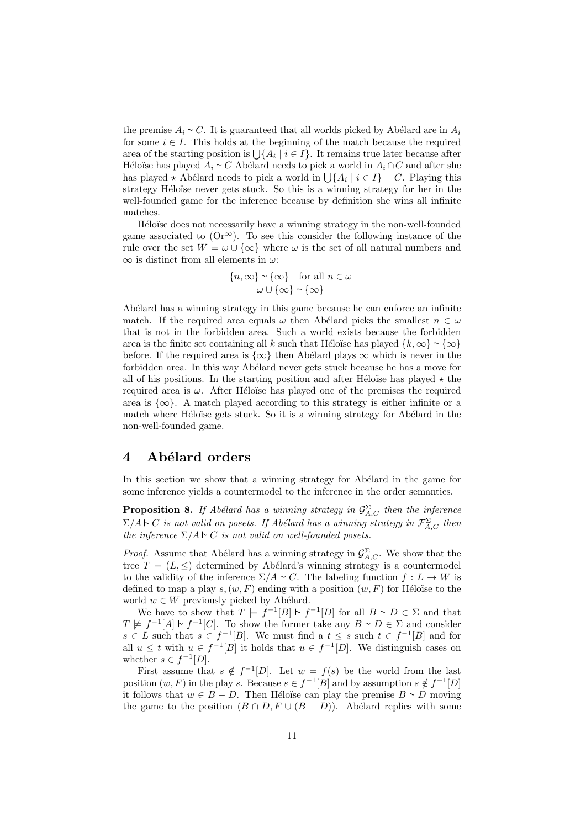the premise  $A_i \rightharpoonup C$ . It is guaranteed that all worlds picked by Abélard are in  $A_i$ for some  $i \in I$ . This holds at the beginning of the match because the required area of the starting position is  $\bigcup \{A_i \mid i \in I\}$ . It remains true later because after Héloïse has played  $A_i \nightharpoonup C$  Abélard needs to pick a world in  $A_i \cap C$  and after she has played  $\star$  Abélard needs to pick a world in  $\bigcup \{A_i \mid i \in I\} - C$ . Playing this strategy Héloïse never gets stuck. So this is a winning strategy for her in the well-founded game for the inference because by definition she wins all infinite matches.

Héloïse does not necessarily have a winning strategy in the non-well-founded game associated to  $(Or^{\infty})$ . To see this consider the following instance of the rule over the set  $W = \omega \cup {\infty}$  where  $\omega$  is the set of all natural numbers and  $\infty$  is distinct from all elements in  $\omega$ :

$$
\frac{\{n,\infty\} \upharpoonright \{\infty\} \quad \text{for all } n \in \omega}{\omega \cup \{\infty\} \upharpoonright \{\infty\}}
$$

Abélard has a winning strategy in this game because he can enforce an infinite match. If the required area equals  $\omega$  then Abélard picks the smallest  $n \in \omega$ that is not in the forbidden area. Such a world exists because the forbidden area is the finite set containing all k such that Héloïse has played  $\{k, \infty\} \upharpoonright \{\infty\}$ before. If the required area is  $\{\infty\}$  then Abélard plays  $\infty$  which is never in the forbidden area. In this way Abélard never gets stuck because he has a move for all of his positions. In the starting position and after Héloïse has played  $\star$  the required area is  $\omega$ . After Héloïse has played one of the premises the required area is  $\{\infty\}$ . A match played according to this strategy is either infinite or a match where Héloïse gets stuck. So it is a winning strategy for Abélard in the non-well-founded game.

### 4 Abélard orders

In this section we show that a winning strategy for Abélard in the game for some inference yields a countermodel to the inference in the order semantics.

**Proposition 8.** If Abélard has a winning strategy in  $\mathcal{G}_{A,C}^{\Sigma}$  then the inference  $\Sigma/A \triangleright C$  is not valid on posets. If Abélard has a winning strategy in  $\mathcal{F}_{A,C}^{\Sigma}$  then the inference  $\Sigma/A \triangleright C$  is not valid on well-founded posets.

*Proof.* Assume that Abélard has a winning strategy in  $\mathcal{G}_{A,C}^{\Sigma}$ . We show that the tree  $T = (L, \leq)$  determined by Abélard's winning strategy is a countermodel to the validity of the inference  $\Sigma/A \vdash C$ . The labeling function  $f: L \to W$  is defined to map a play  $s,(w, F)$  ending with a position  $(w, F)$  for Héloïse to the world  $w \in W$  previously picked by Abélard.

We have to show that  $T \models f^{-1}[B] \vdash f^{-1}[D]$  for all  $B \vdash D \in \Sigma$  and that  $T \not\models f^{-1}[A] \vdash f^{-1}[C]$ . To show the former take any  $B \vdash D \in \Sigma$  and consider  $s \in L$  such that  $s \in f^{-1}[B]$ . We must find a  $t \leq s$  such  $t \in f^{-1}[B]$  and for all  $u \leq t$  with  $u \in f^{-1}[B]$  it holds that  $u \in f^{-1}[D]$ . We distinguish cases on whether  $s \in f^{-1}[D]$ .

First assume that  $s \notin f^{-1}[D]$ . Let  $w = f(s)$  be the world from the last position  $(w, F)$  in the play s. Because  $s \in f^{-1}[B]$  and by assumption  $s \notin f^{-1}[D]$ it follows that  $w \in B - D$ . Then Héloïse can play the premise  $B \vdash D$  moving the game to the position  $(B \cap D, F \cup (B - D))$ . Abélard replies with some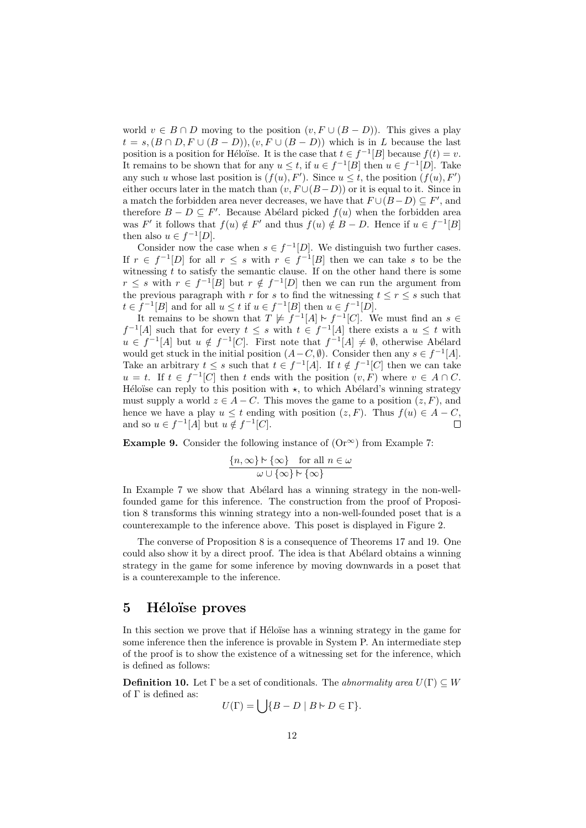world  $v \in B \cap D$  moving to the position  $(v, F \cup (B - D))$ . This gives a play  $t = s,(B \cap D, F \cup (B - D)),(v, F \cup (B - D))$  which is in L because the last position is a position for Héloïse. It is the case that  $t \in f^{-1}[B]$  because  $f(t) = v$ . It remains to be shown that for any  $u \leq t$ , if  $u \in f^{-1}[B]$  then  $u \in f^{-1}[D]$ . Take any such u whose last position is  $(f(u), F')$ . Since  $u \leq t$ , the position  $(f(u), F')$ either occurs later in the match than  $(v, F \cup (B - D))$  or it is equal to it. Since in a match the forbidden area never decreases, we have that  $F \cup (B - D) \subseteq F'$ , and therefore  $B - D \subseteq F'$ . Because Abélard picked  $f(u)$  when the forbidden area was F' it follows that  $f(u) \notin F'$  and thus  $f(u) \notin B - D$ . Hence if  $u \in f^{-1}[B]$ then also  $u \in f^{-1}[D]$ .

Consider now the case when  $s \in f^{-1}[D]$ . We distinguish two further cases. If  $r \in f^{-1}[D]$  for all  $r \leq s$  with  $r \in f^{-1}[B]$  then we can take s to be the witnessing  $t$  to satisfy the semantic clause. If on the other hand there is some  $r \leq s$  with  $r \in f^{-1}[B]$  but  $r \notin f^{-1}[D]$  then we can run the argument from the previous paragraph with r for s to find the witnessing  $t \leq r \leq s$  such that  $t \in f^{-1}[B]$  and for all  $u \leq t$  if  $u \in f^{-1}[B]$  then  $u \in f^{-1}[D]$ .

It remains to be shown that  $T \not\models f^{-1}[A] \vdash f^{-1}[C]$ . We must find an  $s \in$  $f^{-1}[A]$  such that for every  $t \leq s$  with  $t \in f^{-1}[A]$  there exists a  $u \leq t$  with  $u \in f^{-1}[A]$  but  $u \notin f^{-1}[C]$ . First note that  $f^{-1}[A] \neq \emptyset$ , otherwise Abélard would get stuck in the initial position  $(A - C, \emptyset)$ . Consider then any  $s \in f^{-1}[A]$ . Take an arbitrary  $t \leq s$  such that  $t \in f^{-1}[A]$ . If  $t \notin f^{-1}[C]$  then we can take  $u = t$ . If  $t \in f^{-1}[C]$  then t ends with the position  $(v, F)$  where  $v \in A \cap C$ . Héloïse can reply to this position with  $\star$ , to which Abélard's winning strategy must supply a world  $z \in A - C$ . This moves the game to a position  $(z, F)$ , and hence we have a play  $u \leq t$  ending with position  $(z, F)$ . Thus  $f(u) \in A - C$ , and so  $u \in f^{-1}[A]$  but  $u \notin f^{-1}[C]$ .  $\Box$ 

**Example 9.** Consider the following instance of  $(\text{Or}^{\infty})$  from Example 7:

$$
\frac{\{n,\infty\} \upharpoonright \{\infty\} \quad \text{for all } n \in \omega}{\omega \cup \{\infty\} \upharpoonright \{\infty\}}
$$

In Example 7 we show that Abélard has a winning strategy in the non-wellfounded game for this inference. The construction from the proof of Proposition 8 transforms this winning strategy into a non-well-founded poset that is a counterexample to the inference above. This poset is displayed in Figure 2.

The converse of Proposition 8 is a consequence of Theorems 17 and 19. One could also show it by a direct proof. The idea is that Abélard obtains a winning strategy in the game for some inference by moving downwards in a poset that is a counterexample to the inference.

#### 5 Héloïse proves

In this section we prove that if Héloïse has a winning strategy in the game for some inference then the inference is provable in System P. An intermediate step of the proof is to show the existence of a witnessing set for the inference, which is defined as follows:

**Definition 10.** Let  $\Gamma$  be a set of conditionals. The abnormality area  $U(\Gamma) \subseteq W$ of  $\Gamma$  is defined as:

$$
U(\Gamma) = \bigcup \{ B - D \mid B \vdash D \in \Gamma \}.
$$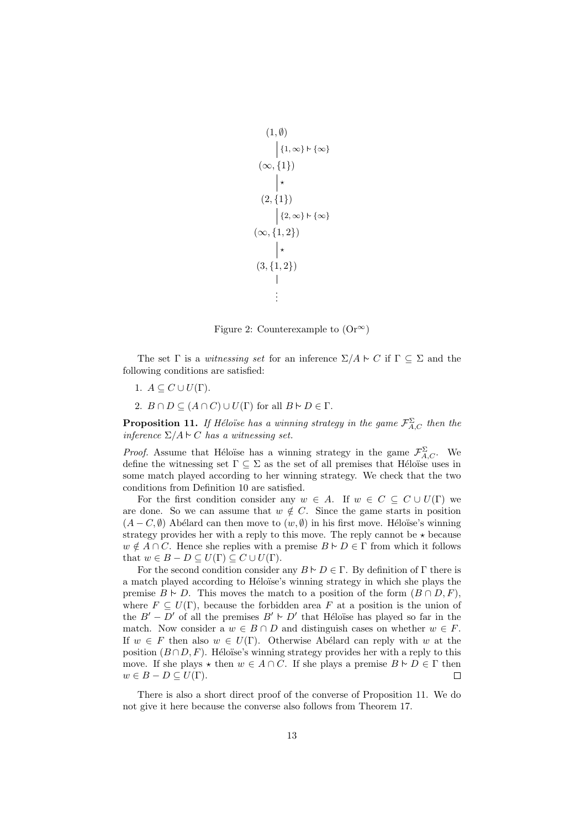```
(1, \emptyset)\Big|\left\{1,\infty\right\}\vdash \left\{\infty\right\}\Big|(\infty, \{1\})\vert \star(2,\{1\})\left\{2,\infty\right\} \stackrel{\sim}{\sim} \{\infty\}(\infty,\{1,2\})\star(3,\{1,2\})\overline{\phantom{a}}.
               .
               .
```
Figure 2: Counterexample to  $(Or^{\infty})$ 

The set  $\Gamma$  is a *witnessing set* for an inference  $\Sigma/A \vdash C$  if  $\Gamma \subseteq \Sigma$  and the following conditions are satisfied:

- 1.  $A \subseteq C \cup U(\Gamma)$ .
- 2.  $B \cap D \subseteq (A \cap C) \cup U(\Gamma)$  for all  $B \vdash D \in \Gamma$ .

**Proposition 11.** If Héloïse has a winning strategy in the game  $\mathcal{F}_{A,C}^{\Sigma}$  then the inference  $\Sigma/A \sim C$  has a witnessing set.

*Proof.* Assume that Héloïse has a winning strategy in the game  $\mathcal{F}_{A,C}^{\Sigma}$ . We define the witnessing set  $\Gamma \subseteq \Sigma$  as the set of all premises that Héloïse uses in some match played according to her winning strategy. We check that the two conditions from Definition 10 are satisfied.

For the first condition consider any  $w \in A$ . If  $w \in C \subset C \cup U(\Gamma)$  we are done. So we can assume that  $w \notin C$ . Since the game starts in position  $(A - C, \emptyset)$  Abélard can then move to  $(w, \emptyset)$  in his first move. Héloïse's winning strategy provides her with a reply to this move. The reply cannot be  $\star$  because  $w \notin A \cap C$ . Hence she replies with a premise  $B \vdash D \in \Gamma$  from which it follows that  $w \in B - D \subseteq U(\Gamma) \subseteq C \cup U(\Gamma)$ .

For the second condition consider any  $B \vdash D \in \Gamma$ . By definition of  $\Gamma$  there is a match played according to Héloïse's winning strategy in which she plays the premise  $B \vdash D$ . This moves the match to a position of the form  $(B \cap D, F)$ , where  $F \subseteq U(\Gamma)$ , because the forbidden area F at a position is the union of the  $B' - D'$  of all the premises  $B' \vdash D'$  that Héloïse has played so far in the match. Now consider a  $w \in B \cap D$  and distinguish cases on whether  $w \in F$ . If  $w \in F$  then also  $w \in U(\Gamma)$ . Otherwise Abélard can reply with w at the position  $(B \cap D, F)$ . Héloïse's winning strategy provides her with a reply to this move. If she plays  $\star$  then  $w \in A \cap C$ . If she plays a premise  $B \vdash D \in \Gamma$  then  $w \in B - D \subseteq U(\Gamma)$ .  $\Box$ 

There is also a short direct proof of the converse of Proposition 11. We do not give it here because the converse also follows from Theorem 17.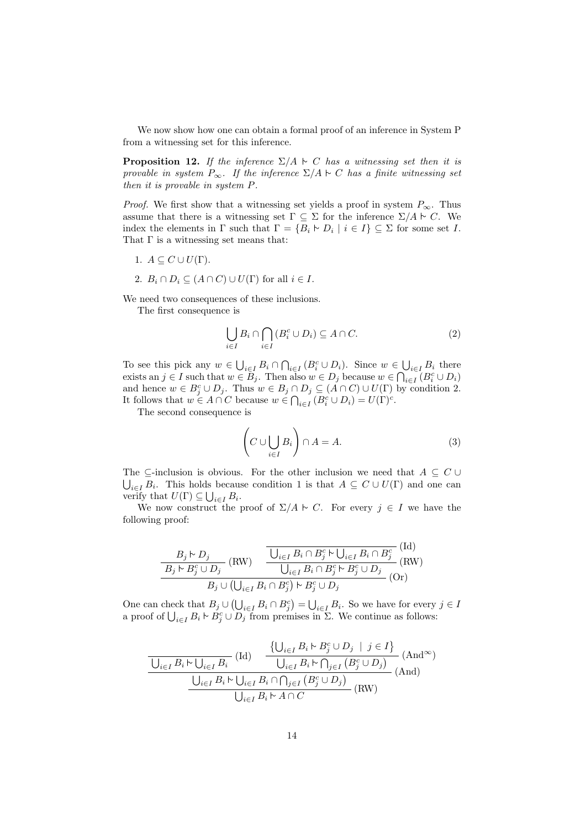We now show how one can obtain a formal proof of an inference in System P from a witnessing set for this inference.

**Proposition 12.** If the inference  $\Sigma/A \sim C$  has a witnessing set then it is provable in system  $P_{\infty}$ . If the inference  $\Sigma/A \sim C$  has a finite witnessing set then it is provable in system P.

*Proof.* We first show that a witnessing set yields a proof in system  $P_{\infty}$ . Thus assume that there is a witnessing set  $\Gamma \subseteq \Sigma$  for the inference  $\Sigma/A \vdash C$ . We index the elements in  $\Gamma$  such that  $\Gamma = \{B_i \vdash D_i \mid i \in I\} \subseteq \Sigma$  for some set I. That  $\Gamma$  is a witnessing set means that:

- 1.  $A \subseteq C \cup U(\Gamma)$ .
- 2.  $B_i \cap D_i \subseteq (A \cap C) \cup U(\Gamma)$  for all  $i \in I$ .

We need two consequences of these inclusions.

The first consequence is

$$
\bigcup_{i \in I} B_i \cap \bigcap_{i \in I} \left( B_i^c \cup D_i \right) \subseteq A \cap C. \tag{2}
$$

To see this pick any  $w \in \bigcup_{i \in I} B_i \cap \bigcap_{i \in I} (B_i^c \cup D_i)$ . Since  $w \in \bigcup_{i \in I} B_i$  there exists an  $j \in I$  such that  $w \in B_j$ . Then also  $w \in D_j$  because  $w \in \bigcap_{i \in I} (B_i^c \cup D_i)$ and hence  $w \in B_j^c \cup D_j$ . Thus  $w \in B_j \cap D_j \subseteq (A \cap C) \cup U(\Gamma)$  by condition 2. It follows that  $w \in A \cap C$  because  $w \in \bigcap_{i \in I} (B_i^c \cup D_i) = U(\Gamma)^c$ .

The second consequence is

$$
\left(C \cup \bigcup_{i \in I} B_i\right) \cap A = A. \tag{3}
$$

The ⊆-inclusion is obvious. For the other inclusion we need that  $A \subseteq C \cup$  $\bigcup_{i\in I} B_i$ . This holds because condition 1 is that  $A \subseteq C \cup U(\Gamma)$  and one can verify that  $U(\Gamma) \subseteq \bigcup_{i \in I} B_i$ .

We now construct the proof of  $\Sigma/A \vdash C$ . For every  $j \in I$  we have the following proof:

$$
\frac{B_j \rhd D_j}{B_j \rhd B_j^c \cup D_j} \text{(RW)} \quad \frac{\overline{\bigcup_{i \in I} B_i \cap B_j^c \rhd \bigcup_{i \in I} B_i \cap B_j^c}}{\bigcup_{i \in I} B_i \cap B_j^c \rhd B_j^c \cup D_j} \text{(RW)} \\
\frac{B_j \rhd B_j^c \cup D_j}{\bigcup_{i \in I} B_i \cap B_j^c \big) \rhd B_j^c \cup D_j} \text{(Or)}
$$

One can check that  $B_j \cup (\bigcup_{i \in I} B_i \cap B_j^c) = \bigcup_{i \in I} B_i$ . So we have for every  $j \in I$ a proof of  $\bigcup_{i\in I} B_i \rightharpoonup B_j^c \cup D_j$  from premises in  $\Sigma$ . We continue as follows:

$$
\frac{\left\{\bigcup_{i\in I} B_i \vdash B_i \vdash B_j^c \cup D_j \mid j \in I\right\}}{\bigcup_{i\in I} B_i \vdash \bigcup_{i\in I} B_i \vdash \bigcap_{j\in I} (B_j^c \cup D_j)\right\}} (And^{\infty})
$$
\n
$$
\frac{\bigcup_{i\in I} B_i \vdash \bigcup_{i\in I} B_i \vdash \bigcap_{j\in I} (B_j^c \cup D_j)\big)}{\bigcup_{i\in I} B_i \vdash A \cap C} (RW)
$$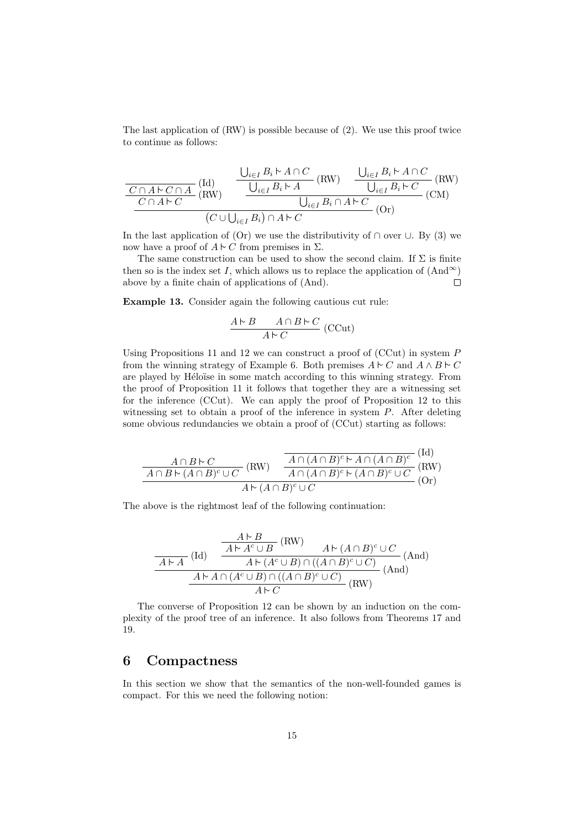The last application of (RW) is possible because of (2). We use this proof twice to continue as follows:

$$
\frac{\frac{U_{i\in I}B_i \rhd A \cap C}{C \cap A \rhd C \cap A} \text{(Id)}}{\frac{C \cap A \rhd C \cap A}{C \cap A \rhd C} \text{(RW)}} \frac{\frac{U_{i\in I}B_i \rhd A \cap C}{U_{i\in I}B_i \rhd A} \text{(RW)}}{\frac{U_{i\in I}B_i \cap A \rhd C}{U_{i\in I}B_i \cap A \rhd C} \text{(CM)}} \text{(CM)}}{\frac{U_{i\in I}B_i \cap A \rhd C}{C \cap A \rhd C}}
$$

In the last application of (Or) we use the distributivity of  $\cap$  over  $\cup$ . By (3) we now have a proof of  $A \vdash C$  from premises in Σ.

The same construction can be used to show the second claim. If  $\Sigma$  is finite then so is the index set I, which allows us to replace the application of  $(And^{\infty})$ above by a finite chain of applications of (And).  $\Box$ 

Example 13. Consider again the following cautious cut rule:

$$
\frac{A \triangleright B \qquad A \cap B \triangleright C}{A \triangleright C} \text{ (CCut)}
$$

Using Propositions 11 and 12 we can construct a proof of  $(CCut)$  in system  $P$ from the winning strategy of Example 6. Both premises  $A \vdash C$  and  $A \land B \vdash C$ are played by Héloïse in some match according to this winning strategy. From the proof of Proposition 11 it follows that together they are a witnessing set for the inference (CCut). We can apply the proof of Proposition 12 to this witnessing set to obtain a proof of the inference in system  $P$ . After deleting some obvious redundancies we obtain a proof of (CCut) starting as follows:

$$
\frac{A \cap B \cap C}{A \cap B \cap (A \cap B)^c \cup C} \text{(RW)} \quad \frac{\overline{A \cap (A \cap B)^c \cap A \cap (A \cap B)^c}}{A \cap (A \cap B)^c \cap (A \cap B)^c \cup C} \text{(RW)}\nA \cap (A \cap B)^c \cup C} \text{(RV)}
$$

 $(T,1)$ 

The above is the rightmost leaf of the following continuation:

$$
\frac{A \nvdash B}{A \nvdash A^c \cup B} (\text{RW}) \qquad A \nvdash (A \cap B)^c \cup C
$$
\n
$$
\frac{A \nvdash A^c \cup B}{A \nvdash (A^c \cup B) \cap ((A \cap B)^c \cup C)} (\text{And})
$$
\n
$$
\frac{A \nvdash A \cap (A^c \cup B) \cap ((A \cap B)^c \cup C)}{A \nvdash C} (\text{RW})
$$

The converse of Proposition 12 can be shown by an induction on the complexity of the proof tree of an inference. It also follows from Theorems 17 and 19.

#### 6 Compactness

In this section we show that the semantics of the non-well-founded games is compact. For this we need the following notion: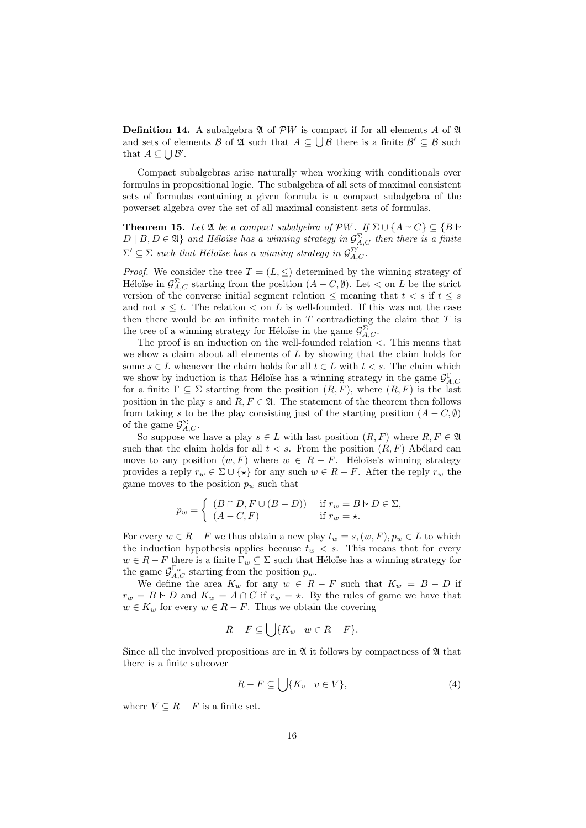**Definition 14.** A subalgebra  $\mathfrak A$  of  $\mathcal{P}W$  is compact if for all elements A of  $\mathfrak A$ and sets of elements B of  $\mathfrak A$  such that  $A \subseteq \bigcup \mathcal B$  there is a finite  $\mathcal B' \subseteq \mathcal B$  such that  $A \subseteq \bigcup \mathcal{B}'$ .

Compact subalgebras arise naturally when working with conditionals over formulas in propositional logic. The subalgebra of all sets of maximal consistent sets of formulas containing a given formula is a compact subalgebra of the powerset algebra over the set of all maximal consistent sets of formulas.

**Theorem 15.** Let  $\mathfrak{A}$  be a compact subalgebra of  $\mathcal{P}W$ . If  $\Sigma \cup \{A \vdash C\} \subseteq \{B \vdash \emptyset\}$  $D \mid B, D \in \mathfrak{A}\}$  and Héloïse has a winning strategy in  $\mathcal{G}^{\Sigma}_{A,C}$  then there is a finite  $\Sigma' \subseteq \Sigma$  such that Héloïse has a winning strategy in  $\mathcal{G}_{A,C}^{\Sigma'}$ .

*Proof.* We consider the tree  $T = (L, \leq)$  determined by the winning strategy of Héloïse in  $\mathcal{G}_{A,C}^{\Sigma}$  starting from the position  $(A - C, \emptyset)$ . Let  $\langle$  on L be the strict version of the converse initial segment relation  $\leq$  meaning that  $t < s$  if  $t \leq s$ and not  $s \leq t$ . The relation  $\lt$  on L is well-founded. If this was not the case then there would be an infinite match in  $T$  contradicting the claim that  $T$  is the tree of a winning strategy for Héloïse in the game  $\mathcal{G}^{\Sigma}_{A,C}$ .

The proof is an induction on the well-founded relation  $\lt$ . This means that we show a claim about all elements of  $L$  by showing that the claim holds for some  $s \in L$  whenever the claim holds for all  $t \in L$  with  $t < s$ . The claim which we show by induction is that Héloïse has a winning strategy in the game  $\mathcal{G}_{A,C}^{\Gamma}$ for a finite  $\Gamma \subseteq \Sigma$  starting from the position  $(R, F)$ , where  $(R, F)$  is the last position in the play s and  $R, F \in \mathfrak{A}$ . The statement of the theorem then follows from taking s to be the play consisting just of the starting position  $(A - C, \emptyset)$ of the game  $\mathcal{G}_{A,C}^{\Sigma}$ .

So suppose we have a play  $s \in L$  with last position  $(R, F)$  where  $R, F \in \mathfrak{A}$ such that the claim holds for all  $t < s$ . From the position  $(R, F)$  Abélard can move to any position  $(w, F)$  where  $w \in R - F$ . Héloïse's winning strategy provides a reply  $r_w \in \Sigma \cup \{ \star \}$  for any such  $w \in R - F$ . After the reply  $r_w$  the game moves to the position  $p_w$  such that

$$
p_w = \begin{cases} (B \cap D, F \cup (B - D)) & \text{if } r_w = B \vdash D \in \Sigma, \\ (A - C, F) & \text{if } r_w = \star. \end{cases}
$$

For every  $w \in R - F$  we thus obtain a new play  $t_w = s, (w, F), p_w \in L$  to which the induction hypothesis applies because  $t_w < s$ . This means that for every  $w \in R - F$  there is a finite  $\Gamma_w \subseteq \Sigma$  such that Héloïse has a winning strategy for the game  $\mathcal{G}_{A,C}^{\Gamma_w}$  starting from the position  $p_w$ .

We define the area  $K_w$  for any  $w \in R - F$  such that  $K_w = B - D$  if  $r_w = B \vdash D$  and  $K_w = A \cap C$  if  $r_w = \star$ . By the rules of game we have that  $w \in K_w$  for every  $w \in R - F$ . Thus we obtain the covering

$$
R - F \subseteq \bigcup \{ K_w \mid w \in R - F \}.
$$

Since all the involved propositions are in  $\mathfrak A$  it follows by compactness of  $\mathfrak A$  that there is a finite subcover

$$
R - F \subseteq \bigcup \{ K_v \mid v \in V \},\tag{4}
$$

where  $V \subseteq R - F$  is a finite set.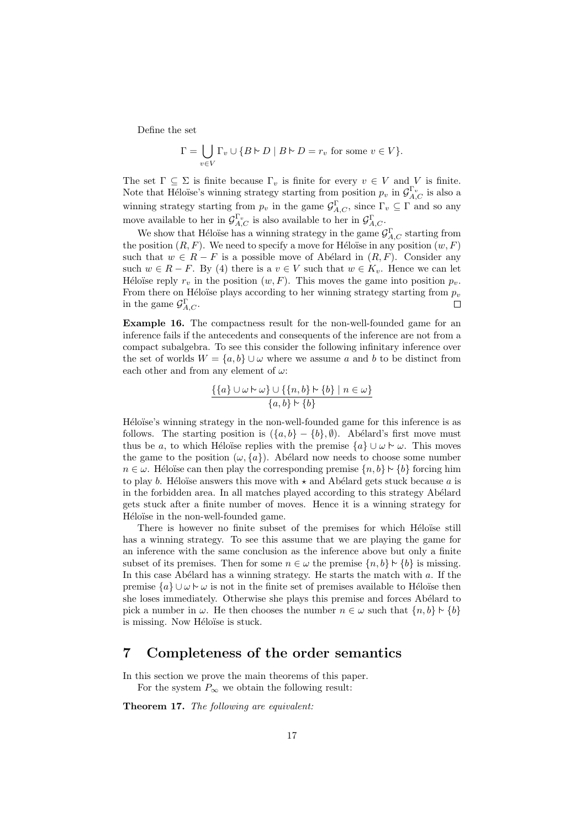Define the set

$$
\Gamma = \bigcup_{v \in V} \Gamma_v \cup \{ B \vdash D \mid B \vdash D = r_v \text{ for some } v \in V \}.
$$

The set  $\Gamma \subseteq \Sigma$  is finite because  $\Gamma_v$  is finite for every  $v \in V$  and V is finite. Note that Héloïse's winning strategy starting from position  $p_v$  in  $\mathcal{G}_{A,C}^{\Gamma_v}$  is also a winning strategy starting from  $p_v$  in the game  $\mathcal{G}_{A,C}^{\Gamma}$ , since  $\Gamma_v \subseteq \Gamma$  and so any move available to her in  $\mathcal{G}_{A,C}^{\Gamma_v}$  is also available to her in  $\mathcal{G}_{A,C}^{\Gamma}$ .

We show that Héloïse has a winning strategy in the game  $\mathcal{G}_{A,C}^{\Gamma}$  starting from the position  $(R, F)$ . We need to specify a move for Héloïse in any position  $(w, F)$ such that  $w \in R - F$  is a possible move of Abélard in  $(R, F)$ . Consider any such  $w \in R - F$ . By (4) there is a  $v \in V$  such that  $w \in K_v$ . Hence we can let Héloïse reply  $r_v$  in the position  $(w, F)$ . This moves the game into position  $p_v$ . From there on Héloïse plays according to her winning strategy starting from  $p_v$ in the game  $\mathcal{G}_{A,C}^{\Gamma}$ .  $\Box$ 

Example 16. The compactness result for the non-well-founded game for an inference fails if the antecedents and consequents of the inference are not from a compact subalgebra. To see this consider the following infinitary inference over the set of worlds  $W = \{a, b\} \cup \omega$  where we assume a and b to be distinct from each other and from any element of  $\omega$ :

$$
\frac{\{\{a\} \cup \omega \vdash \omega\} \cup \{\{n,b\} \vdash \{b\} \mid n \in \omega\}}{\{a,b\} \vdash \{b\}}
$$

Héloïse's winning strategy in the non-well-founded game for this inference is as follows. The starting position is  $({a, b} - {b}, \emptyset)$ . Abélard's first move must thus be a, to which Héloïse replies with the premise  $\{a\} \cup \omega \sim \omega$ . This moves the game to the position  $(\omega, \{a\})$ . Abélard now needs to choose some number  $n \in \omega$ . Héloïse can then play the corresponding premise  $\{n, b\} \upharpoonright \{b\}$  forcing him to play b. Héloïse answers this move with  $\star$  and Abélard gets stuck because a is in the forbidden area. In all matches played according to this strategy Abélard gets stuck after a finite number of moves. Hence it is a winning strategy for Héloïse in the non-well-founded game.

There is however no finite subset of the premises for which Héloïse still has a winning strategy. To see this assume that we are playing the game for an inference with the same conclusion as the inference above but only a finite subset of its premises. Then for some  $n \in \omega$  the premise  $\{n, b\} \upharpoonright \{b\}$  is missing. In this case Abélard has a winning strategy. He starts the match with  $a$ . If the premise  $\{a\} \cup \omega \vdash \omega$  is not in the finite set of premises available to Héloïse then she loses immediately. Otherwise she plays this premise and forces Abélard to pick a number in  $\omega$ . He then chooses the number  $n \in \omega$  such that  $\{n, b\} \upharpoonright \{b\}$ is missing. Now Héloïse is stuck.

### 7 Completeness of the order semantics

In this section we prove the main theorems of this paper. For the system  $P_{\infty}$  we obtain the following result:

Theorem 17. The following are equivalent: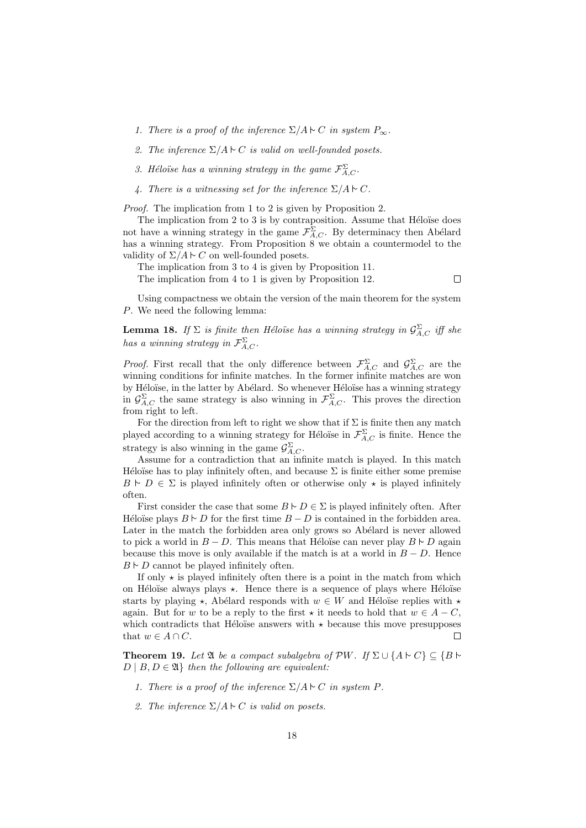- 1. There is a proof of the inference  $\Sigma/A \sim C$  in system  $P_{\infty}$ .
- 2. The inference  $\Sigma/A \sim C$  is valid on well-founded posets.
- 3. Héloïse has a winning strategy in the game  $\mathcal{F}_{A,C}^{\Sigma}$ .
- 4. There is a witnessing set for the inference  $\Sigma/A \vdash C$ .

Proof. The implication from 1 to 2 is given by Proposition 2.

The implication from  $2$  to  $3$  is by contraposition. Assume that Héloïse does not have a winning strategy in the game  $\mathcal{F}_{A,C}^{\Sigma}$ . By determinacy then Abélard has a winning strategy. From Proposition 8 we obtain a countermodel to the validity of  $\Sigma/A \sim C$  on well-founded posets.

The implication from 3 to 4 is given by Proposition 11. The implication from 4 to 1 is given by Proposition 12.  $\Box$ 

Using compactness we obtain the version of the main theorem for the system P. We need the following lemma:

**Lemma 18.** If  $\Sigma$  is finite then Héloïse has a winning strategy in  $\mathcal{G}_{A,C}^{\Sigma}$  iff she has a winning strategy in  $\mathcal{F}_{A,C}^{\Sigma}$ .

*Proof.* First recall that the only difference between  $\mathcal{F}_{A,C}^{\Sigma}$  and  $\mathcal{G}_{A,C}^{\Sigma}$  are the winning conditions for infinite matches. In the former infinite matches are won by Héloïse, in the latter by Abélard. So whenever Héloïse has a winning strategy in  $\mathcal{G}_{A,C}^{\Sigma}$  the same strategy is also winning in  $\mathcal{F}_{A,C}^{\Sigma}$ . This proves the direction from right to left.

For the direction from left to right we show that if  $\Sigma$  is finite then any match played according to a winning strategy for Héloïse in  $\mathcal{F}_{A,C}^{\Sigma}$  is finite. Hence the strategy is also winning in the game  $\mathcal{G}_{A,C}^{\Sigma}$ .

Assume for a contradiction that an infinite match is played. In this match Héloïse has to play infinitely often, and because  $\Sigma$  is finite either some premise  $B \vdash D \in \Sigma$  is played infinitely often or otherwise only  $\star$  is played infinitely often.

First consider the case that some  $B \vdash D \in \Sigma$  is played infinitely often. After Héloïse plays  $B \vdash D$  for the first time  $B - D$  is contained in the forbidden area. Later in the match the forbidden area only grows so Abélard is never allowed to pick a world in  $B - D$ . This means that Héloïse can never play  $B \vdash D$  again because this move is only available if the match is at a world in  $B - D$ . Hence  $B \vdash D$  cannot be played infinitely often.

If only  $\star$  is played infinitely often there is a point in the match from which on Héloïse always plays  $\star$ . Hence there is a sequence of plays where Héloïse starts by playing  $\star$ , Abélard responds with  $w \in W$  and Héloïse replies with  $\star$ again. But for w to be a reply to the first  $\star$  it needs to hold that  $w \in A - C$ . which contradicts that Héloïse answers with  $\star$  because this move presupposes that  $w \in A \cap C$ .  $\Box$ 

**Theorem 19.** Let  $\mathfrak{A}$  be a compact subalgebra of  $\mathcal{P}W$ . If  $\Sigma \cup \{A \vdash C\} \subseteq \{B \vdash \emptyset\}$  $D \mid B, D \in \mathfrak{A}$  then the following are equivalent:

- 1. There is a proof of the inference  $\Sigma/A \sim C$  in system P.
- 2. The inference  $\Sigma/A \vdash C$  is valid on posets.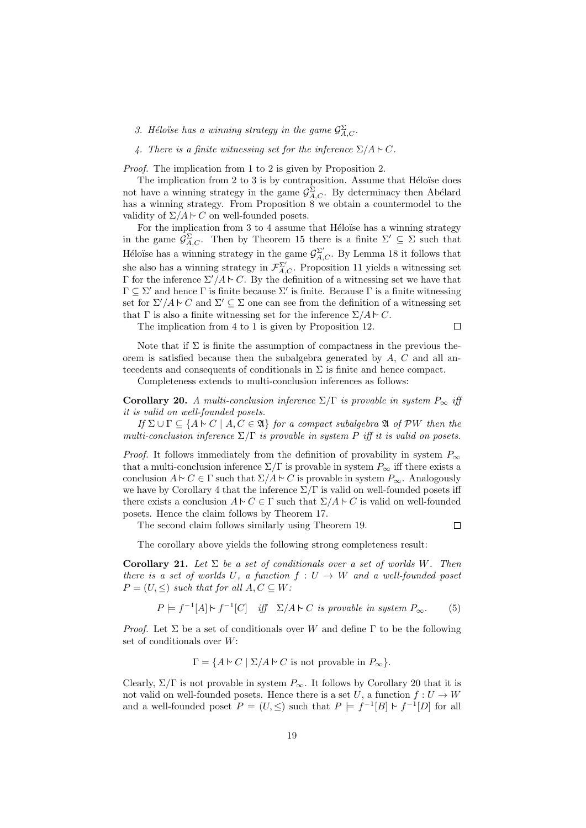3. Héloïse has a winning strategy in the game  $\mathcal{G}^{\Sigma}_{A,C}$ .

4. There is a finite witnessing set for the inference  $\Sigma/A \sim C$ .

Proof. The implication from 1 to 2 is given by Proposition 2.

The implication from  $2$  to  $3$  is by contraposition. Assume that Héloïse does not have a winning strategy in the game  $\mathcal{G}^{\Sigma}_{A,C}$ . By determinacy then Abélard has a winning strategy. From Proposition  $\hat{8}$  we obtain a countermodel to the validity of  $\Sigma/A \sim C$  on well-founded posets.

For the implication from  $3$  to  $4$  assume that Héloïse has a winning strategy in the game  $\mathcal{G}_{A,C}^{\Sigma}$ . Then by Theorem 15 there is a finite  $\Sigma' \subseteq \Sigma$  such that Héloïse has a winning strategy in the game  $\mathcal{G}_{A,C}^{\Sigma'}$ . By Lemma 18 it follows that she also has a winning strategy in  $\mathcal{F}_{A,C}^{\Sigma'}$ . Proposition 11 yields a witnessing set Γ for the inference  $\Sigma'/A \sim C$ . By the definition of a witnessing set we have that  $\Gamma \subseteq \Sigma'$  and hence  $\Gamma$  is finite because  $\Sigma'$  is finite. Because  $\Gamma$  is a finite witnessing set for  $\Sigma'/A \vdash C$  and  $\Sigma' \subseteq \Sigma$  one can see from the definition of a witnessing set that  $\Gamma$  is also a finite witnessing set for the inference  $\Sigma/A \sim C$ .

The implication from 4 to 1 is given by Proposition 12.

 $\Box$ 

Note that if  $\Sigma$  is finite the assumption of compactness in the previous theorem is satisfied because then the subalgebra generated by  $A, C$  and all antecedents and consequents of conditionals in  $\Sigma$  is finite and hence compact.

Completeness extends to multi-conclusion inferences as follows:

Corollary 20. A multi-conclusion inference  $\Sigma/\Gamma$  is provable in system  $P_{\infty}$  iff it is valid on well-founded posets.

If  $\Sigma \cup \Gamma \subseteq \{A \vdash C \mid A, C \in \mathfrak{A}\}\$  for a compact subalgebra  $\mathfrak{A}$  of PW then the multi-conclusion inference  $\Sigma/\Gamma$  is provable in system P iff it is valid on posets.

*Proof.* It follows immediately from the definition of provability in system  $P_{\infty}$ that a multi-conclusion inference  $\Sigma/\Gamma$  is provable in system  $P_{\infty}$  iff there exists a conclusion  $A \vdash C \in \Gamma$  such that  $\Sigma/A \vdash C$  is provable in system  $P_{\infty}$ . Analogously we have by Corollary 4 that the inference  $\Sigma/\Gamma$  is valid on well-founded posets iff there exists a conclusion  $A \vdash C \in \Gamma$  such that  $\Sigma/A \vdash C$  is valid on well-founded posets. Hence the claim follows by Theorem 17.

The second claim follows similarly using Theorem 19.

 $\Box$ 

The corollary above yields the following strong completeness result:

Corollary 21. Let  $\Sigma$  be a set of conditionals over a set of worlds W. Then there is a set of worlds U, a function  $f: U \to W$  and a well-founded poset  $P = (U, \leq)$  such that for all  $A, C \subseteq W$ :

$$
P \models f^{-1}[A] \vdash f^{-1}[C] \quad \text{iff} \quad \Sigma/A \vdash C \text{ is provable in system } P_{\infty}.
$$
 (5)

*Proof.* Let  $\Sigma$  be a set of conditionals over W and define  $\Gamma$  to be the following set of conditionals over W:

 $\Gamma = \{A \vdash C \mid \Sigma/A \vdash C \text{ is not provable in } P_{\infty}\}.$ 

Clearly,  $\Sigma/\Gamma$  is not provable in system  $P_{\infty}$ . It follows by Corollary 20 that it is not valid on well-founded posets. Hence there is a set U, a function  $f: U \to W$ and a well-founded poset  $P = (U, \leq)$  such that  $P \models f^{-1}[B] \vdash f^{-1}[D]$  for all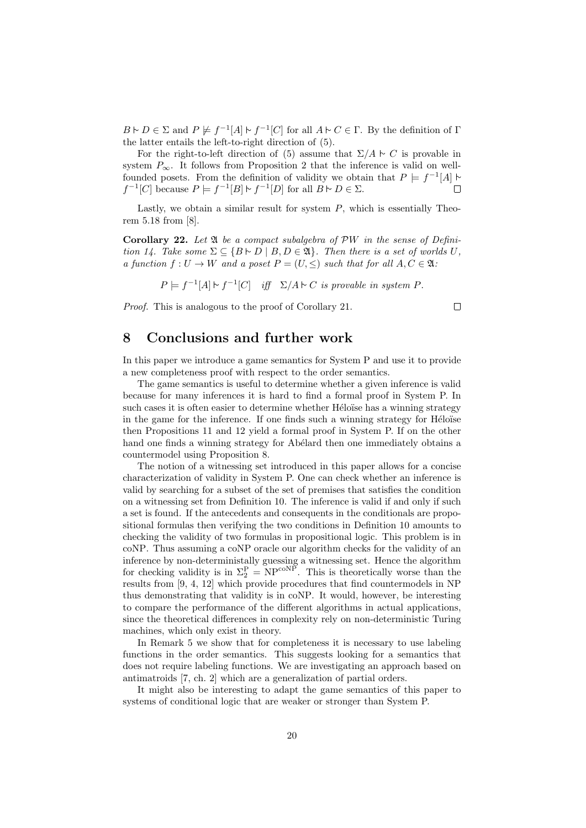$B \vdash D \in \Sigma$  and  $P \not\models f^{-1}[A] \vdash f^{-1}[C]$  for all  $A \vdash C \in \Gamma$ . By the definition of  $\Gamma$ the latter entails the left-to-right direction of (5).

For the right-to-left direction of (5) assume that  $\Sigma/A \sim C$  is provable in system  $P_{\infty}$ . It follows from Proposition 2 that the inference is valid on wellfounded posets. From the definition of validity we obtain that  $P \models f^{-1}[A]$  $f^{-1}[C]$  because  $P \models f^{-1}[B] \models f^{-1}[D]$  for all  $B \models D \in \Sigma$ .  $\Box$ 

Lastly, we obtain a similar result for system  $P$ , which is essentially Theorem 5.18 from [8].

Corollary 22. Let  $\mathfrak A$  be a compact subalgebra of  $\mathcal{P}W$  in the sense of Definition 14. Take some  $\Sigma \subseteq \{B \cup D \mid B, D \in \mathfrak{A}\}\$ . Then there is a set of worlds U, a function  $f: U \to W$  and a poset  $P = (U, \leq)$  such that for all  $A, C \in \mathfrak{A}$ .

 $P \models f^{-1}[A] \triangleright f^{-1}[C]$  iff  $\Sigma/A \triangleright C$  is provable in system P.

 $\Box$ 

Proof. This is analogous to the proof of Corollary 21.

#### 8 Conclusions and further work

In this paper we introduce a game semantics for System P and use it to provide a new completeness proof with respect to the order semantics.

The game semantics is useful to determine whether a given inference is valid because for many inferences it is hard to find a formal proof in System P. In such cases it is often easier to determine whether Héloïse has a winning strategy in the game for the inference. If one finds such a winning strategy for Héloïse then Propositions 11 and 12 yield a formal proof in System P. If on the other hand one finds a winning strategy for Abélard then one immediately obtains a countermodel using Proposition 8.

The notion of a witnessing set introduced in this paper allows for a concise characterization of validity in System P. One can check whether an inference is valid by searching for a subset of the set of premises that satisfies the condition on a witnessing set from Definition 10. The inference is valid if and only if such a set is found. If the antecedents and consequents in the conditionals are propositional formulas then verifying the two conditions in Definition 10 amounts to checking the validity of two formulas in propositional logic. This problem is in coNP. Thus assuming a coNP oracle our algorithm checks for the validity of an inference by non-deterministally guessing a witnessing set. Hence the algorithm for checking validity is in  $\Sigma_2^{\rm P} = {\rm NP}^{\text{coNP}}$ . This is theoretically worse than the results from [9, 4, 12] which provide procedures that find countermodels in NP thus demonstrating that validity is in coNP. It would, however, be interesting to compare the performance of the different algorithms in actual applications, since the theoretical differences in complexity rely on non-deterministic Turing machines, which only exist in theory.

In Remark 5 we show that for completeness it is necessary to use labeling functions in the order semantics. This suggests looking for a semantics that does not require labeling functions. We are investigating an approach based on antimatroids [7, ch. 2] which are a generalization of partial orders.

It might also be interesting to adapt the game semantics of this paper to systems of conditional logic that are weaker or stronger than System P.